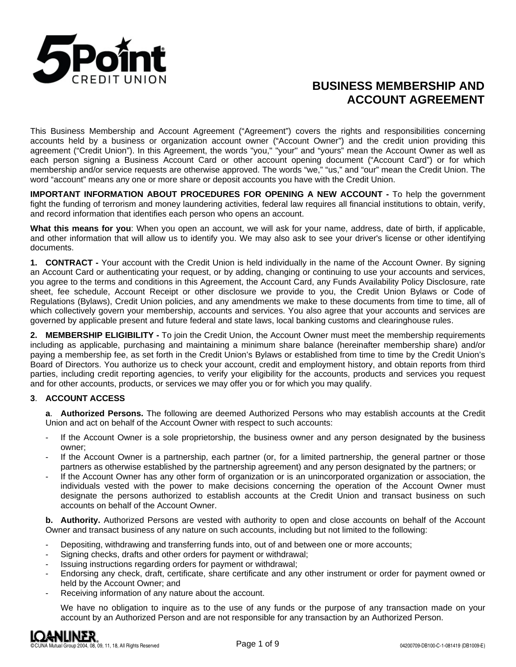

# **BUSINESS MEMBERSHIP AND ACCOUNT AGREEMENT**

This Business Membership and Account Agreement ("Agreement") covers the rights and responsibilities concerning accounts held by a business or organization account owner ("Account Owner") and the credit union providing this agreement ("Credit Union"). In this Agreement, the words "you," "your" and "yours" mean the Account Owner as well as each person signing a Business Account Card or other account opening document ("Account Card") or for which membership and/or service requests are otherwise approved. The words "we," "us," and "our" mean the Credit Union. The word "account" means any one or more share or deposit accounts you have with the Credit Union.

**IMPORTANT INFORMATION ABOUT PROCEDURES FOR OPENING A NEW ACCOUNT -** To help the government fight the funding of terrorism and money laundering activities, federal law requires all financial institutions to obtain, verify, and record information that identifies each person who opens an account.

**What this means for you**: When you open an account, we will ask for your name, address, date of birth, if applicable, and other information that will allow us to identify you. We may also ask to see your driver's license or other identifying documents.

**1. CONTRACT -** Your account with the Credit Union is held individually in the name of the Account Owner. By signing an Account Card or authenticating your request, or by adding, changing or continuing to use your accounts and services, you agree to the terms and conditions in this Agreement, the Account Card, any Funds Availability Policy Disclosure, rate sheet, fee schedule, Account Receipt or other disclosure we provide to you, the Credit Union Bylaws or Code of Regulations (Bylaws), Credit Union policies, and any amendments we make to these documents from time to time, all of which collectively govern your membership, accounts and services. You also agree that your accounts and services are governed by applicable present and future federal and state laws, local banking customs and clearinghouse rules.

**2. MEMBERSHIP ELIGIBILITY -** To join the Credit Union, the Account Owner must meet the membership requirements including as applicable, purchasing and maintaining a minimum share balance (hereinafter membership share) and/or paying a membership fee, as set forth in the Credit Union's Bylaws or established from time to time by the Credit Union's Board of Directors. You authorize us to check your account, credit and employment history, and obtain reports from third parties, including credit reporting agencies, to verify your eligibility for the accounts, products and services you request and for other accounts, products, or services we may offer you or for which you may qualify.

## **3**. **ACCOUNT ACCESS**

**a**. **Authorized Persons.** The following are deemed Authorized Persons who may establish accounts at the Credit Union and act on behalf of the Account Owner with respect to such accounts:

- If the Account Owner is a sole proprietorship, the business owner and any person designated by the business owner;
- If the Account Owner is a partnership, each partner (or, for a limited partnership, the general partner or those partners as otherwise established by the partnership agreement) and any person designated by the partners; or
- If the Account Owner has any other form of organization or is an unincorporated organization or association, the individuals vested with the power to make decisions concerning the operation of the Account Owner must designate the persons authorized to establish accounts at the Credit Union and transact business on such accounts on behalf of the Account Owner.

**b. Authority.** Authorized Persons are vested with authority to open and close accounts on behalf of the Account Owner and transact business of any nature on such accounts, including but not limited to the following:

- Depositing, withdrawing and transferring funds into, out of and between one or more accounts;
- Signing checks, drafts and other orders for payment or withdrawal;
- Issuing instructions regarding orders for payment or withdrawal;
- Endorsing any check, draft, certificate, share certificate and any other instrument or order for payment owned or held by the Account Owner; and
- Receiving information of any nature about the account.

We have no obligation to inquire as to the use of any funds or the purpose of any transaction made on your account by an Authorized Person and are not responsible for any transaction by an Authorized Person.

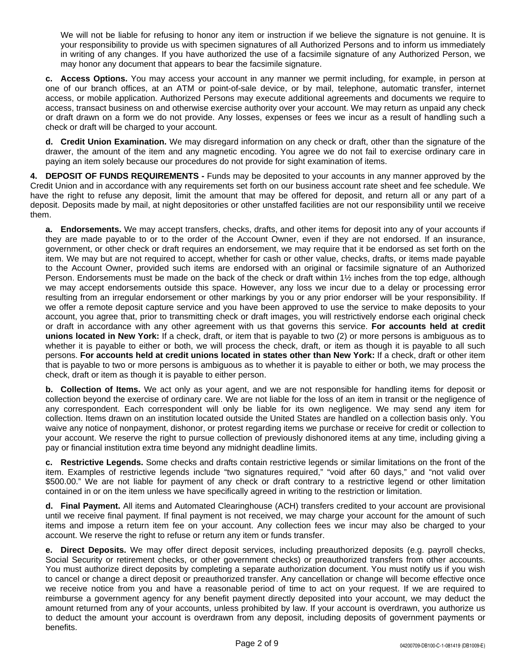We will not be liable for refusing to honor any item or instruction if we believe the signature is not genuine. It is your responsibility to provide us with specimen signatures of all Authorized Persons and to inform us immediately in writing of any changes. If you have authorized the use of a facsimile signature of any Authorized Person, we may honor any document that appears to bear the facsimile signature.

**c. Access Options.** You may access your account in any manner we permit including, for example, in person at one of our branch offices, at an ATM or point-of-sale device, or by mail, telephone, automatic transfer, internet access, or mobile application. Authorized Persons may execute additional agreements and documents we require to access, transact business on and otherwise exercise authority over your account. We may return as unpaid any check or draft drawn on a form we do not provide. Any losses, expenses or fees we incur as a result of handling such a check or draft will be charged to your account.

**d. Credit Union Examination.** We may disregard information on any check or draft, other than the signature of the drawer, the amount of the item and any magnetic encoding. You agree we do not fail to exercise ordinary care in paying an item solely because our procedures do not provide for sight examination of items.

**4. DEPOSIT OF FUNDS REQUIREMENTS -** Funds may be deposited to your accounts in any manner approved by the Credit Union and in accordance with any requirements set forth on our business account rate sheet and fee schedule. We have the right to refuse any deposit, limit the amount that may be offered for deposit, and return all or any part of a deposit. Deposits made by mail, at night depositories or other unstaffed facilities are not our responsibility until we receive them.

**a. Endorsements.** We may accept transfers, checks, drafts, and other items for deposit into any of your accounts if they are made payable to or to the order of the Account Owner, even if they are not endorsed. If an insurance, government, or other check or draft requires an endorsement, we may require that it be endorsed as set forth on the item. We may but are not required to accept, whether for cash or other value, checks, drafts, or items made payable to the Account Owner, provided such items are endorsed with an original or facsimile signature of an Authorized Person. Endorsements must be made on the back of the check or draft within 1½ inches from the top edge, although we may accept endorsements outside this space. However, any loss we incur due to a delay or processing error resulting from an irregular endorsement or other markings by you or any prior endorser will be your responsibility. If we offer a remote deposit capture service and you have been approved to use the service to make deposits to your account, you agree that, prior to transmitting check or draft images, you will restrictively endorse each original check or draft in accordance with any other agreement with us that governs this service. **For accounts held at credit unions located in New York:** If a check, draft, or item that is payable to two (2) or more persons is ambiguous as to whether it is payable to either or both, we will process the check, draft, or item as though it is payable to all such persons. **For accounts held at credit unions located in states other than New York:** If a check, draft or other item that is payable to two or more persons is ambiguous as to whether it is payable to either or both, we may process the check, draft or item as though it is payable to either person.

**b. Collection of Items.** We act only as your agent, and we are not responsible for handling items for deposit or collection beyond the exercise of ordinary care. We are not liable for the loss of an item in transit or the negligence of any correspondent. Each correspondent will only be liable for its own negligence. We may send any item for collection. Items drawn on an institution located outside the United States are handled on a collection basis only. You waive any notice of nonpayment, dishonor, or protest regarding items we purchase or receive for credit or collection to your account. We reserve the right to pursue collection of previously dishonored items at any time, including giving a pay or financial institution extra time beyond any midnight deadline limits.

**c. Restrictive Legends.** Some checks and drafts contain restrictive legends or similar limitations on the front of the item. Examples of restrictive legends include "two signatures required," "void after 60 days," and "not valid over \$500.00." We are not liable for payment of any check or draft contrary to a restrictive legend or other limitation contained in or on the item unless we have specifically agreed in writing to the restriction or limitation.

**d. Final Payment.** All items and Automated Clearinghouse (ACH) transfers credited to your account are provisional until we receive final payment. If final payment is not received, we may charge your account for the amount of such items and impose a return item fee on your account. Any collection fees we incur may also be charged to your account. We reserve the right to refuse or return any item or funds transfer.

**e. Direct Deposits.** We may offer direct deposit services, including preauthorized deposits (e.g. payroll checks, Social Security or retirement checks, or other government checks) or preauthorized transfers from other accounts. You must authorize direct deposits by completing a separate authorization document. You must notify us if you wish to cancel or change a direct deposit or preauthorized transfer. Any cancellation or change will become effective once we receive notice from you and have a reasonable period of time to act on your request. If we are required to reimburse a government agency for any benefit payment directly deposited into your account, we may deduct the amount returned from any of your accounts, unless prohibited by law. If your account is overdrawn, you authorize us to deduct the amount your account is overdrawn from any deposit, including deposits of government payments or benefits.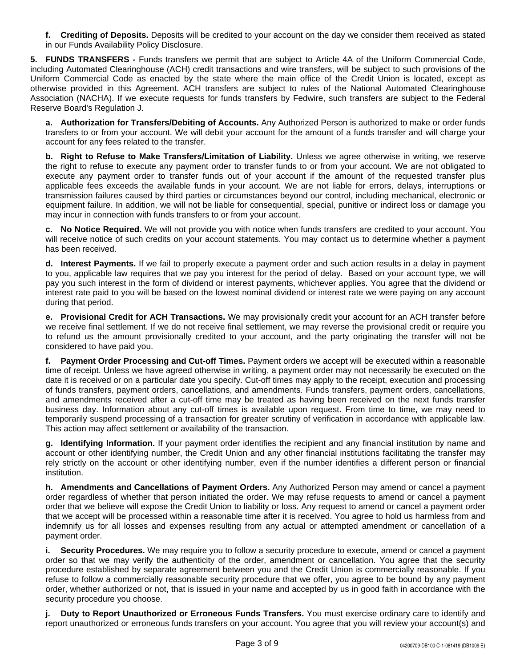**f. Crediting of Deposits.** Deposits will be credited to your account on the day we consider them received as stated in our Funds Availability Policy Disclosure.

**5. FUNDS TRANSFERS -** Funds transfers we permit that are subject to Article 4A of the Uniform Commercial Code, including Automated Clearinghouse (ACH) credit transactions and wire transfers, will be subject to such provisions of the Uniform Commercial Code as enacted by the state where the main office of the Credit Union is located, except as otherwise provided in this Agreement. ACH transfers are subject to rules of the National Automated Clearinghouse Association (NACHA). If we execute requests for funds transfers by Fedwire, such transfers are subject to the Federal Reserve Board's Regulation J.

**a. Authorization for Transfers/Debiting of Accounts.** Any Authorized Person is authorized to make or order funds transfers to or from your account. We will debit your account for the amount of a funds transfer and will charge your account for any fees related to the transfer.

**b. Right to Refuse to Make Transfers/Limitation of Liability.** Unless we agree otherwise in writing, we reserve the right to refuse to execute any payment order to transfer funds to or from your account. We are not obligated to execute any payment order to transfer funds out of your account if the amount of the requested transfer plus applicable fees exceeds the available funds in your account. We are not liable for errors, delays, interruptions or transmission failures caused by third parties or circumstances beyond our control, including mechanical, electronic or equipment failure. In addition, we will not be liable for consequential, special, punitive or indirect loss or damage you may incur in connection with funds transfers to or from your account.

**c. No Notice Required.** We will not provide you with notice when funds transfers are credited to your account. You will receive notice of such credits on your account statements. You may contact us to determine whether a payment has been received.

**d. Interest Payments.** If we fail to properly execute a payment order and such action results in a delay in payment to you, applicable law requires that we pay you interest for the period of delay. Based on your account type, we will pay you such interest in the form of dividend or interest payments, whichever applies. You agree that the dividend or interest rate paid to you will be based on the lowest nominal dividend or interest rate we were paying on any account during that period.

**e. Provisional Credit for ACH Transactions.** We may provisionally credit your account for an ACH transfer before we receive final settlement. If we do not receive final settlement, we may reverse the provisional credit or require you to refund us the amount provisionally credited to your account, and the party originating the transfer will not be considered to have paid you.

**f. Payment Order Processing and Cut-off Times.** Payment orders we accept will be executed within a reasonable time of receipt. Unless we have agreed otherwise in writing, a payment order may not necessarily be executed on the date it is received or on a particular date you specify. Cut-off times may apply to the receipt, execution and processing of funds transfers, payment orders, cancellations, and amendments. Funds transfers, payment orders, cancellations, and amendments received after a cut-off time may be treated as having been received on the next funds transfer business day. Information about any cut-off times is available upon request. From time to time, we may need to temporarily suspend processing of a transaction for greater scrutiny of verification in accordance with applicable law. This action may affect settlement or availability of the transaction.

**g. Identifying Information.** If your payment order identifies the recipient and any financial institution by name and account or other identifying number, the Credit Union and any other financial institutions facilitating the transfer may rely strictly on the account or other identifying number, even if the number identifies a different person or financial institution.

**h. Amendments and Cancellations of Payment Orders.** Any Authorized Person may amend or cancel a payment order regardless of whether that person initiated the order. We may refuse requests to amend or cancel a payment order that we believe will expose the Credit Union to liability or loss. Any request to amend or cancel a payment order that we accept will be processed within a reasonable time after it is received. You agree to hold us harmless from and indemnify us for all losses and expenses resulting from any actual or attempted amendment or cancellation of a payment order.

**i. Security Procedures.** We may require you to follow a security procedure to execute, amend or cancel a payment order so that we may verify the authenticity of the order, amendment or cancellation. You agree that the security procedure established by separate agreement between you and the Credit Union is commercially reasonable. If you refuse to follow a commercially reasonable security procedure that we offer, you agree to be bound by any payment order, whether authorized or not, that is issued in your name and accepted by us in good faith in accordance with the security procedure you choose.

**j. Duty to Report Unauthorized or Erroneous Funds Transfers.** You must exercise ordinary care to identify and report unauthorized or erroneous funds transfers on your account. You agree that you will review your account(s) and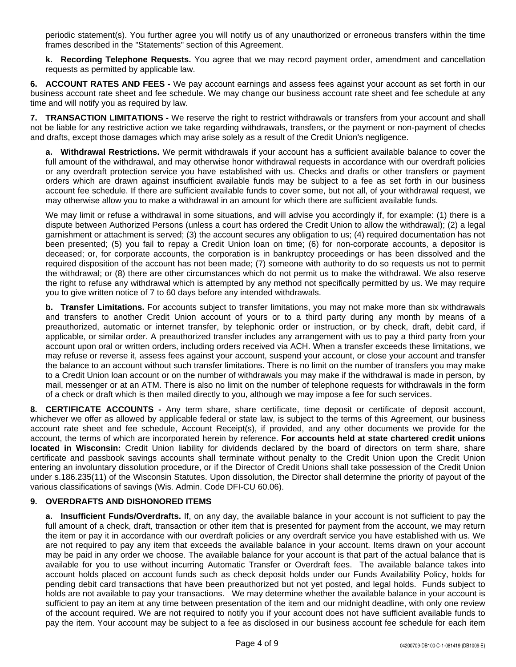periodic statement(s). You further agree you will notify us of any unauthorized or erroneous transfers within the time frames described in the "Statements" section of this Agreement.

**k. Recording Telephone Requests.** You agree that we may record payment order, amendment and cancellation requests as permitted by applicable law.

**6. ACCOUNT RATES AND FEES -** We pay account earnings and assess fees against your account as set forth in our business account rate sheet and fee schedule. We may change our business account rate sheet and fee schedule at any time and will notify you as required by law.

**7. TRANSACTION LIMITATIONS -** We reserve the right to restrict withdrawals or transfers from your account and shall not be liable for any restrictive action we take regarding withdrawals, transfers, or the payment or non-payment of checks and drafts, except those damages which may arise solely as a result of the Credit Union's negligence.

**a. Withdrawal Restrictions.** We permit withdrawals if your account has a sufficient available balance to cover the full amount of the withdrawal, and may otherwise honor withdrawal requests in accordance with our overdraft policies or any overdraft protection service you have established with us. Checks and drafts or other transfers or payment orders which are drawn against insufficient available funds may be subject to a fee as set forth in our business account fee schedule. If there are sufficient available funds to cover some, but not all, of your withdrawal request, we may otherwise allow you to make a withdrawal in an amount for which there are sufficient available funds.

We may limit or refuse a withdrawal in some situations, and will advise you accordingly if, for example: (1) there is a dispute between Authorized Persons (unless a court has ordered the Credit Union to allow the withdrawal); (2) a legal garnishment or attachment is served; (3) the account secures any obligation to us; (4) required documentation has not been presented; (5) you fail to repay a Credit Union loan on time; (6) for non-corporate accounts, a depositor is deceased; or, for corporate accounts, the corporation is in bankruptcy proceedings or has been dissolved and the required disposition of the account has not been made; (7) someone with authority to do so requests us not to permit the withdrawal; or (8) there are other circumstances which do not permit us to make the withdrawal. We also reserve the right to refuse any withdrawal which is attempted by any method not specifically permitted by us. We may require you to give written notice of 7 to 60 days before any intended withdrawals.

**b. Transfer Limitations.** For accounts subject to transfer limitations, you may not make more than six withdrawals and transfers to another Credit Union account of yours or to a third party during any month by means of a preauthorized, automatic or internet transfer, by telephonic order or instruction, or by check, draft, debit card, if applicable, or similar order. A preauthorized transfer includes any arrangement with us to pay a third party from your account upon oral or written orders, including orders received via ACH. When a transfer exceeds these limitations, we may refuse or reverse it, assess fees against your account, suspend your account, or close your account and transfer the balance to an account without such transfer limitations. There is no limit on the number of transfers you may make to a Credit Union loan account or on the number of withdrawals you may make if the withdrawal is made in person, by mail, messenger or at an ATM. There is also no limit on the number of telephone requests for withdrawals in the form of a check or draft which is then mailed directly to you, although we may impose a fee for such services.

**8. CERTIFICATE ACCOUNTS -** Any term share, share certificate, time deposit or certificate of deposit account, whichever we offer as allowed by applicable federal or state law, is subject to the terms of this Agreement, our business account rate sheet and fee schedule, Account Receipt(s), if provided, and any other documents we provide for the account, the terms of which are incorporated herein by reference. **For accounts held at state chartered credit unions located in Wisconsin:** Credit Union liability for dividends declared by the board of directors on term share, share certificate and passbook savings accounts shall terminate without penalty to the Credit Union upon the Credit Union entering an involuntary dissolution procedure, or if the Director of Credit Unions shall take possession of the Credit Union under s.186.235(11) of the Wisconsin Statutes. Upon dissolution, the Director shall determine the priority of payout of the various classifications of savings (Wis. Admin. Code DFI-CU 60.06).

### **9. OVERDRAFTS AND DISHONORED ITEMS**

**a. Insufficient Funds/Overdrafts.** If, on any day, the available balance in your account is not sufficient to pay the full amount of a check, draft, transaction or other item that is presented for payment from the account, we may return the item or pay it in accordance with our overdraft policies or any overdraft service you have established with us. We are not required to pay any item that exceeds the available balance in your account. Items drawn on your account may be paid in any order we choose. The available balance for your account is that part of the actual balance that is available for you to use without incurring Automatic Transfer or Overdraft fees. The available balance takes into account holds placed on account funds such as check deposit holds under our Funds Availability Policy, holds for pending debit card transactions that have been preauthorized but not yet posted, and legal holds. Funds subject to holds are not available to pay your transactions. We may determine whether the available balance in your account is sufficient to pay an item at any time between presentation of the item and our midnight deadline, with only one review of the account required. We are not required to notify you if your account does not have sufficient available funds to pay the item. Your account may be subject to a fee as disclosed in our business account fee schedule for each item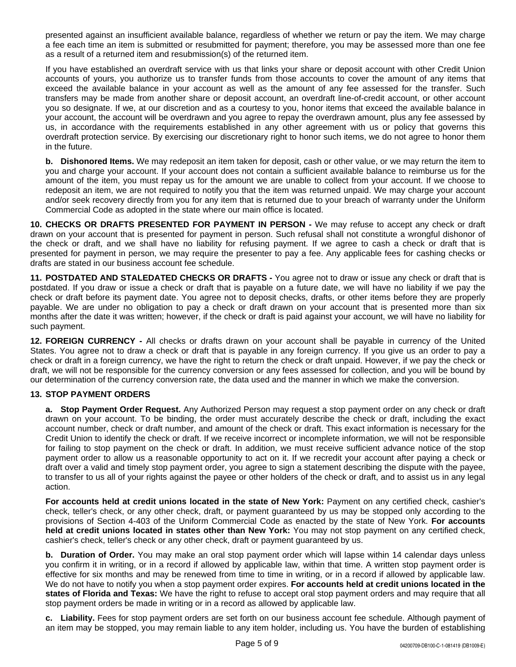presented against an insufficient available balance, regardless of whether we return or pay the item. We may charge a fee each time an item is submitted or resubmitted for payment; therefore, you may be assessed more than one fee as a result of a returned item and resubmission(s) of the returned item.

If you have established an overdraft service with us that links your share or deposit account with other Credit Union accounts of yours, you authorize us to transfer funds from those accounts to cover the amount of any items that exceed the available balance in your account as well as the amount of any fee assessed for the transfer. Such transfers may be made from another share or deposit account, an overdraft line-of-credit account, or other account you so designate. If we, at our discretion and as a courtesy to you, honor items that exceed the available balance in your account, the account will be overdrawn and you agree to repay the overdrawn amount, plus any fee assessed by us, in accordance with the requirements established in any other agreement with us or policy that governs this overdraft protection service. By exercising our discretionary right to honor such items, we do not agree to honor them in the future.

**b. Dishonored Items.** We may redeposit an item taken for deposit, cash or other value, or we may return the item to you and charge your account. If your account does not contain a sufficient available balance to reimburse us for the amount of the item, you must repay us for the amount we are unable to collect from your account. If we choose to redeposit an item, we are not required to notify you that the item was returned unpaid. We may charge your account and/or seek recovery directly from you for any item that is returned due to your breach of warranty under the Uniform Commercial Code as adopted in the state where our main office is located.

**10. CHECKS OR DRAFTS PRESENTED FOR PAYMENT IN PERSON -** We may refuse to accept any check or draft drawn on your account that is presented for payment in person. Such refusal shall not constitute a wrongful dishonor of the check or draft, and we shall have no liability for refusing payment. If we agree to cash a check or draft that is presented for payment in person, we may require the presenter to pay a fee. Any applicable fees for cashing checks or drafts are stated in our business account fee schedule.

**11. POSTDATED AND STALEDATED CHECKS OR DRAFTS -** You agree not to draw or issue any check or draft that is postdated. If you draw or issue a check or draft that is payable on a future date, we will have no liability if we pay the check or draft before its payment date. You agree not to deposit checks, drafts, or other items before they are properly payable. We are under no obligation to pay a check or draft drawn on your account that is presented more than six months after the date it was written; however, if the check or draft is paid against your account, we will have no liability for such payment.

**12. FOREIGN CURRENCY -** All checks or drafts drawn on your account shall be payable in currency of the United States. You agree not to draw a check or draft that is payable in any foreign currency. If you give us an order to pay a check or draft in a foreign currency, we have the right to return the check or draft unpaid. However, if we pay the check or draft, we will not be responsible for the currency conversion or any fees assessed for collection, and you will be bound by our determination of the currency conversion rate, the data used and the manner in which we make the conversion.

### **13. STOP PAYMENT ORDERS**

**a. Stop Payment Order Request.** Any Authorized Person may request a stop payment order on any check or draft drawn on your account. To be binding, the order must accurately describe the check or draft, including the exact account number, check or draft number, and amount of the check or draft. This exact information is necessary for the Credit Union to identify the check or draft. If we receive incorrect or incomplete information, we will not be responsible for failing to stop payment on the check or draft. In addition, we must receive sufficient advance notice of the stop payment order to allow us a reasonable opportunity to act on it. If we recredit your account after paying a check or draft over a valid and timely stop payment order, you agree to sign a statement describing the dispute with the payee, to transfer to us all of your rights against the payee or other holders of the check or draft, and to assist us in any legal action.

**For accounts held at credit unions located in the state of New York:** Payment on any certified check, cashier's check, teller's check, or any other check, draft, or payment guaranteed by us may be stopped only according to the provisions of Section 4-403 of the Uniform Commercial Code as enacted by the state of New York. **For accounts held at credit unions located in states other than New York:** You may not stop payment on any certified check, cashier's check, teller's check or any other check, draft or payment guaranteed by us.

**b. Duration of Order.** You may make an oral stop payment order which will lapse within 14 calendar days unless you confirm it in writing, or in a record if allowed by applicable law, within that time. A written stop payment order is effective for six months and may be renewed from time to time in writing, or in a record if allowed by applicable law. We do not have to notify you when a stop payment order expires. **For accounts held at credit unions located in the states of Florida and Texas:** We have the right to refuse to accept oral stop payment orders and may require that all stop payment orders be made in writing or in a record as allowed by applicable law.

**c. Liability.** Fees for stop payment orders are set forth on our business account fee schedule. Although payment of an item may be stopped, you may remain liable to any item holder, including us. You have the burden of establishing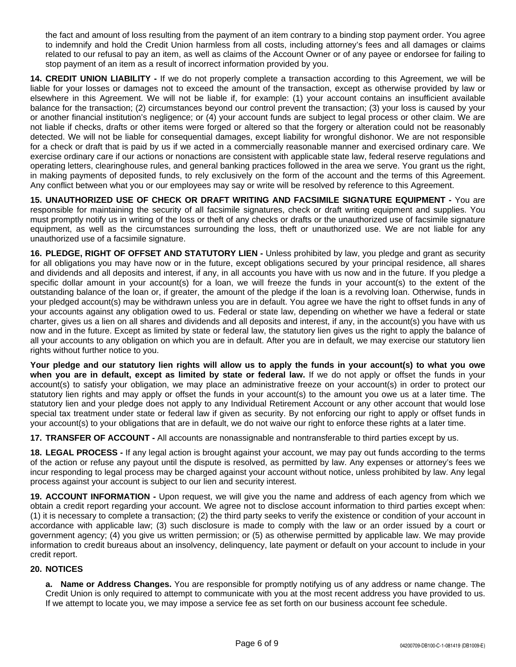the fact and amount of loss resulting from the payment of an item contrary to a binding stop payment order. You agree to indemnify and hold the Credit Union harmless from all costs, including attorney's fees and all damages or claims related to our refusal to pay an item, as well as claims of the Account Owner or of any payee or endorsee for failing to stop payment of an item as a result of incorrect information provided by you.

**14. CREDIT UNION LIABILITY -** If we do not properly complete a transaction according to this Agreement, we will be liable for your losses or damages not to exceed the amount of the transaction, except as otherwise provided by law or elsewhere in this Agreement. We will not be liable if, for example: (1) your account contains an insufficient available balance for the transaction; (2) circumstances beyond our control prevent the transaction; (3) your loss is caused by your or another financial institution's negligence; or (4) your account funds are subject to legal process or other claim. We are not liable if checks, drafts or other items were forged or altered so that the forgery or alteration could not be reasonably detected. We will not be liable for consequential damages, except liability for wrongful dishonor. We are not responsible for a check or draft that is paid by us if we acted in a commercially reasonable manner and exercised ordinary care. We exercise ordinary care if our actions or nonactions are consistent with applicable state law, federal reserve regulations and operating letters, clearinghouse rules, and general banking practices followed in the area we serve. You grant us the right, in making payments of deposited funds, to rely exclusively on the form of the account and the terms of this Agreement. Any conflict between what you or our employees may say or write will be resolved by reference to this Agreement.

**15. UNAUTHORIZED USE OF CHECK OR DRAFT WRITING AND FACSIMILE SIGNATURE EQUIPMENT -** You are responsible for maintaining the security of all facsimile signatures, check or draft writing equipment and supplies. You must promptly notify us in writing of the loss or theft of any checks or drafts or the unauthorized use of facsimile signature equipment, as well as the circumstances surrounding the loss, theft or unauthorized use. We are not liable for any unauthorized use of a facsimile signature.

**16. PLEDGE, RIGHT OF OFFSET AND STATUTORY LIEN -** Unless prohibited by law, you pledge and grant as security for all obligations you may have now or in the future, except obligations secured by your principal residence, all shares and dividends and all deposits and interest, if any, in all accounts you have with us now and in the future. If you pledge a specific dollar amount in your account(s) for a loan, we will freeze the funds in your account(s) to the extent of the outstanding balance of the loan or, if greater, the amount of the pledge if the loan is a revolving loan. Otherwise, funds in your pledged account(s) may be withdrawn unless you are in default. You agree we have the right to offset funds in any of your accounts against any obligation owed to us. Federal or state law, depending on whether we have a federal or state charter, gives us a lien on all shares and dividends and all deposits and interest, if any, in the account(s) you have with us now and in the future. Except as limited by state or federal law, the statutory lien gives us the right to apply the balance of all your accounts to any obligation on which you are in default. After you are in default, we may exercise our statutory lien rights without further notice to you.

**Your pledge and our statutory lien rights will allow us to apply the funds in your account(s) to what you owe when you are in default, except as limited by state or federal law.** If we do not apply or offset the funds in your account(s) to satisfy your obligation, we may place an administrative freeze on your account(s) in order to protect our statutory lien rights and may apply or offset the funds in your account(s) to the amount you owe us at a later time. The statutory lien and your pledge does not apply to any Individual Retirement Account or any other account that would lose special tax treatment under state or federal law if given as security. By not enforcing our right to apply or offset funds in your account(s) to your obligations that are in default, we do not waive our right to enforce these rights at a later time.

**17. TRANSFER OF ACCOUNT -** All accounts are nonassignable and nontransferable to third parties except by us.

**18. LEGAL PROCESS -** If any legal action is brought against your account, we may pay out funds according to the terms of the action or refuse any payout until the dispute is resolved, as permitted by law. Any expenses or attorney's fees we incur responding to legal process may be charged against your account without notice, unless prohibited by law. Any legal process against your account is subject to our lien and security interest.

**19. ACCOUNT INFORMATION -** Upon request, we will give you the name and address of each agency from which we obtain a credit report regarding your account. We agree not to disclose account information to third parties except when: (1) it is necessary to complete a transaction; (2) the third party seeks to verify the existence or condition of your account in accordance with applicable law; (3) such disclosure is made to comply with the law or an order issued by a court or government agency; (4) you give us written permission; or (5) as otherwise permitted by applicable law. We may provide information to credit bureaus about an insolvency, delinquency, late payment or default on your account to include in your credit report.

### **20. NOTICES**

**a. Name or Address Changes.** You are responsible for promptly notifying us of any address or name change. The Credit Union is only required to attempt to communicate with you at the most recent address you have provided to us. If we attempt to locate you, we may impose a service fee as set forth on our business account fee schedule.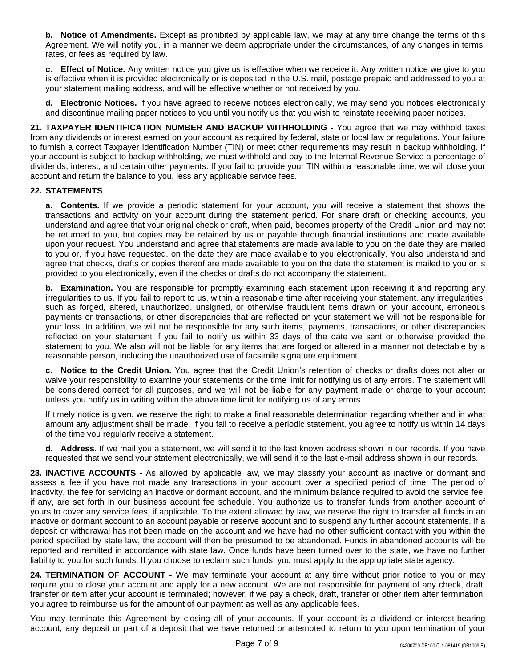**b. Notice of Amendments.** Except as prohibited by applicable law, we may at any time change the terms of this Agreement. We will notify you, in a manner we deem appropriate under the circumstances, of any changes in terms, rates, or fees as required by law.

**c. Effect of Notice.** Any written notice you give us is effective when we receive it. Any written notice we give to you is effective when it is provided electronically or is deposited in the U.S. mail, postage prepaid and addressed to you at your statement mailing address, and will be effective whether or not received by you.

**d. Electronic Notices.** If you have agreed to receive notices electronically, we may send you notices electronically and discontinue mailing paper notices to you until you notify us that you wish to reinstate receiving paper notices.

**21. TAXPAYER IDENTIFICATION NUMBER AND BACKUP WITHHOLDING -** You agree that we may withhold taxes from any dividends or interest earned on your account as required by federal, state or local law or regulations. Your failure to furnish a correct Taxpayer Identification Number (TIN) or meet other requirements may result in backup withholding. If your account is subject to backup withholding, we must withhold and pay to the Internal Revenue Service a percentage of dividends, interest, and certain other payments. If you fail to provide your TIN within a reasonable time, we will close your account and return the balance to you, less any applicable service fees.

#### **22. STATEMENTS**

**a. Contents.** If we provide a periodic statement for your account, you will receive a statement that shows the transactions and activity on your account during the statement period. For share draft or checking accounts, you understand and agree that your original check or draft, when paid, becomes property of the Credit Union and may not be returned to you, but copies may be retained by us or payable through financial institutions and made available upon your request. You understand and agree that statements are made available to you on the date they are mailed to you or, if you have requested, on the date they are made available to you electronically. You also understand and agree that checks, drafts or copies thereof are made available to you on the date the statement is mailed to you or is provided to you electronically, even if the checks or drafts do not accompany the statement.

**b. Examination.** You are responsible for promptly examining each statement upon receiving it and reporting any irregularities to us. If you fail to report to us, within a reasonable time after receiving your statement, any irregularities, such as forged, altered, unauthorized, unsigned, or otherwise fraudulent items drawn on your account, erroneous payments or transactions, or other discrepancies that are reflected on your statement we will not be responsible for your loss. In addition, we will not be responsible for any such items, payments, transactions, or other discrepancies reflected on your statement if you fail to notify us within 33 days of the date we sent or otherwise provided the statement to you. We also will not be liable for any items that are forged or altered in a manner not detectable by a reasonable person, including the unauthorized use of facsimile signature equipment.

**c. Notice to the Credit Union.** You agree that the Credit Union's retention of checks or drafts does not alter or waive your responsibility to examine your statements or the time limit for notifying us of any errors. The statement will be considered correct for all purposes, and we will not be liable for any payment made or charge to your account unless you notify us in writing within the above time limit for notifying us of any errors.

If timely notice is given, we reserve the right to make a final reasonable determination regarding whether and in what amount any adjustment shall be made. If you fail to receive a periodic statement, you agree to notify us within 14 days of the time you regularly receive a statement.

**d. Address.** If we mail you a statement, we will send it to the last known address shown in our records. If you have requested that we send your statement electronically, we will send it to the last e-mail address shown in our records.

**23. INACTIVE ACCOUNTS -** As allowed by applicable law, we may classify your account as inactive or dormant and assess a fee if you have not made any transactions in your account over a specified period of time. The period of inactivity, the fee for servicing an inactive or dormant account, and the minimum balance required to avoid the service fee, if any, are set forth in our business account fee schedule. You authorize us to transfer funds from another account of yours to cover any service fees, if applicable. To the extent allowed by law, we reserve the right to transfer all funds in an inactive or dormant account to an account payable or reserve account and to suspend any further account statements. If a deposit or withdrawal has not been made on the account and we have had no other sufficient contact with you within the period specified by state law, the account will then be presumed to be abandoned. Funds in abandoned accounts will be reported and remitted in accordance with state law. Once funds have been turned over to the state, we have no further liability to you for such funds. If you choose to reclaim such funds, you must apply to the appropriate state agency.

**24. TERMINATION OF ACCOUNT -** We may terminate your account at any time without prior notice to you or may require you to close your account and apply for a new account. We are not responsible for payment of any check, draft, transfer or item after your account is terminated; however, if we pay a check, draft, transfer or other item after termination, you agree to reimburse us for the amount of our payment as well as any applicable fees.

You may terminate this Agreement by closing all of your accounts. If your account is a dividend or interest-bearing account, any deposit or part of a deposit that we have returned or attempted to return to you upon termination of your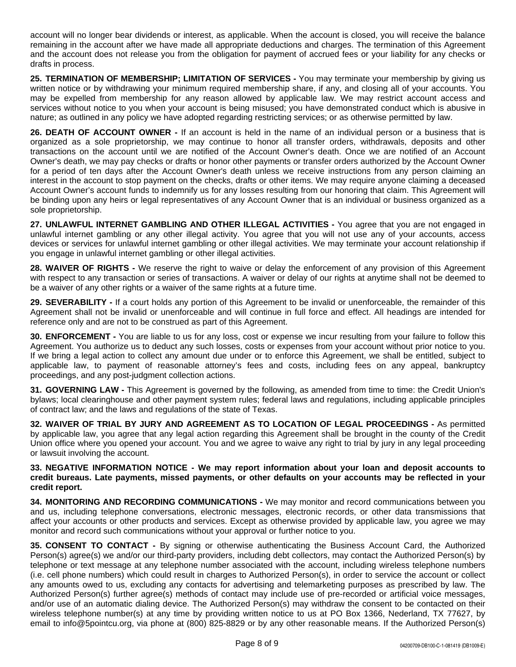account will no longer bear dividends or interest, as applicable. When the account is closed, you will receive the balance remaining in the account after we have made all appropriate deductions and charges. The termination of this Agreement and the account does not release you from the obligation for payment of accrued fees or your liability for any checks or drafts in process.

**25. TERMINATION OF MEMBERSHIP; LIMITATION OF SERVICES -** You may terminate your membership by giving us written notice or by withdrawing your minimum required membership share, if any, and closing all of your accounts. You may be expelled from membership for any reason allowed by applicable law. We may restrict account access and services without notice to you when your account is being misused; you have demonstrated conduct which is abusive in nature; as outlined in any policy we have adopted regarding restricting services; or as otherwise permitted by law.

**26. DEATH OF ACCOUNT OWNER -** If an account is held in the name of an individual person or a business that is organized as a sole proprietorship, we may continue to honor all transfer orders, withdrawals, deposits and other transactions on the account until we are notified of the Account Owner's death. Once we are notified of an Account Owner's death, we may pay checks or drafts or honor other payments or transfer orders authorized by the Account Owner for a period of ten days after the Account Owner's death unless we receive instructions from any person claiming an interest in the account to stop payment on the checks, drafts or other items. We may require anyone claiming a deceased Account Owner's account funds to indemnify us for any losses resulting from our honoring that claim. This Agreement will be binding upon any heirs or legal representatives of any Account Owner that is an individual or business organized as a sole proprietorship.

**27. UNLAWFUL INTERNET GAMBLING AND OTHER ILLEGAL ACTIVITIES -** You agree that you are not engaged in unlawful internet gambling or any other illegal activity. You agree that you will not use any of your accounts, access devices or services for unlawful internet gambling or other illegal activities. We may terminate your account relationship if you engage in unlawful internet gambling or other illegal activities.

**28. WAIVER OF RIGHTS -** We reserve the right to waive or delay the enforcement of any provision of this Agreement with respect to any transaction or series of transactions. A waiver or delay of our rights at anytime shall not be deemed to be a waiver of any other rights or a waiver of the same rights at a future time.

**29. SEVERABILITY -** If a court holds any portion of this Agreement to be invalid or unenforceable, the remainder of this Agreement shall not be invalid or unenforceable and will continue in full force and effect. All headings are intended for reference only and are not to be construed as part of this Agreement.

**30. ENFORCEMENT -** You are liable to us for any loss, cost or expense we incur resulting from your failure to follow this Agreement. You authorize us to deduct any such losses, costs or expenses from your account without prior notice to you. If we bring a legal action to collect any amount due under or to enforce this Agreement, we shall be entitled, subject to applicable law, to payment of reasonable attorney's fees and costs, including fees on any appeal, bankruptcy proceedings, and any post-judgment collection actions.

**31. GOVERNING LAW -** This Agreement is governed by the following, as amended from time to time: the Credit Union's bylaws; local clearinghouse and other payment system rules; federal laws and regulations, including applicable principles of contract law; and the laws and regulations of the state of Texas.

**32. WAIVER OF TRIAL BY JURY AND AGREEMENT AS TO LOCATION OF LEGAL PROCEEDINGS -** As permitted by applicable law, you agree that any legal action regarding this Agreement shall be brought in the county of the Credit Union office where you opened your account. You and we agree to waive any right to trial by jury in any legal proceeding or lawsuit involving the account.

**33. NEGATIVE INFORMATION NOTICE - We may report information about your loan and deposit accounts to credit bureaus. Late payments, missed payments, or other defaults on your accounts may be reflected in your credit report.**

**34. MONITORING AND RECORDING COMMUNICATIONS -** We may monitor and record communications between you and us, including telephone conversations, electronic messages, electronic records, or other data transmissions that affect your accounts or other products and services. Except as otherwise provided by applicable law, you agree we may monitor and record such communications without your approval or further notice to you.

**35. CONSENT TO CONTACT -** By signing or otherwise authenticating the Business Account Card, the Authorized Person(s) agree(s) we and/or our third-party providers, including debt collectors, may contact the Authorized Person(s) by telephone or text message at any telephone number associated with the account, including wireless telephone numbers (i.e. cell phone numbers) which could result in charges to Authorized Person(s), in order to service the account or collect any amounts owed to us, excluding any contacts for advertising and telemarketing purposes as prescribed by law. The Authorized Person(s) further agree(s) methods of contact may include use of pre-recorded or artificial voice messages, and/or use of an automatic dialing device. The Authorized Person(s) may withdraw the consent to be contacted on their wireless telephone number(s) at any time by providing written notice to us at PO Box 1366, Nederland, TX 77627, by email to info@5pointcu.org, via phone at (800) 825-8829 or by any other reasonable means. If the Authorized Person(s)